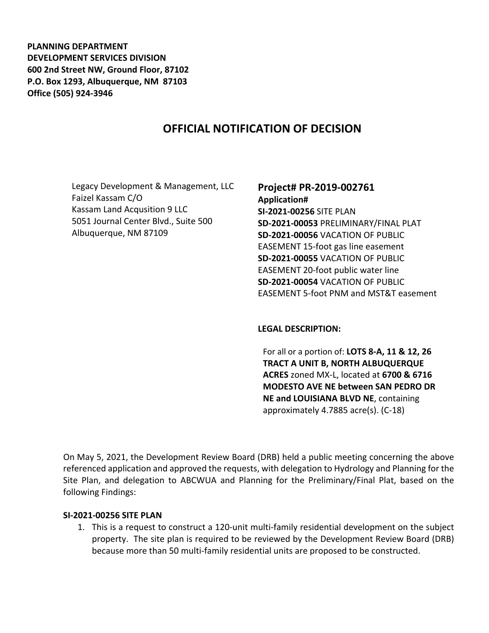**PLANNING DEPARTMENT DEVELOPMENT SERVICES DIVISION 600 2nd Street NW, Ground Floor, 87102 P.O. Box 1293, Albuquerque, NM 87103 Office (505) 924-3946** 

# **OFFICIAL NOTIFICATION OF DECISION**

Legacy Development & Management, LLC Faizel Kassam C/O Kassam Land Acqusition 9 LLC 5051 Journal Center Blvd., Suite 500 Albuquerque, NM 87109

# **Project# PR-2019-002761**

**Application# SI-2021-00256** SITE PLAN **SD-2021-00053** PRELIMINARY/FINAL PLAT **SD-2021-00056** VACATION OF PUBLIC EASEMENT 15-foot gas line easement **SD-2021-00055** VACATION OF PUBLIC EASEMENT 20-foot public water line **SD-2021-00054** VACATION OF PUBLIC EASEMENT 5-foot PNM and MST&T easement

#### **LEGAL DESCRIPTION:**

For all or a portion of: **LOTS 8-A, 11 & 12, 26 TRACT A UNIT B, NORTH ALBUQUERQUE ACRES** zoned MX-L, located at **6700 & 6716 MODESTO AVE NE between SAN PEDRO DR NE and LOUISIANA BLVD NE**, containing approximately 4.7885 acre(s). (C-18)

On May 5, 2021, the Development Review Board (DRB) held a public meeting concerning the above referenced application and approved the requests, with delegation to Hydrology and Planning for the Site Plan, and delegation to ABCWUA and Planning for the Preliminary/Final Plat, based on the following Findings:

#### **SI-2021-00256 SITE PLAN**

1. This is a request to construct a 120-unit multi-family residential development on the subject property. The site plan is required to be reviewed by the Development Review Board (DRB) because more than 50 multi-family residential units are proposed to be constructed.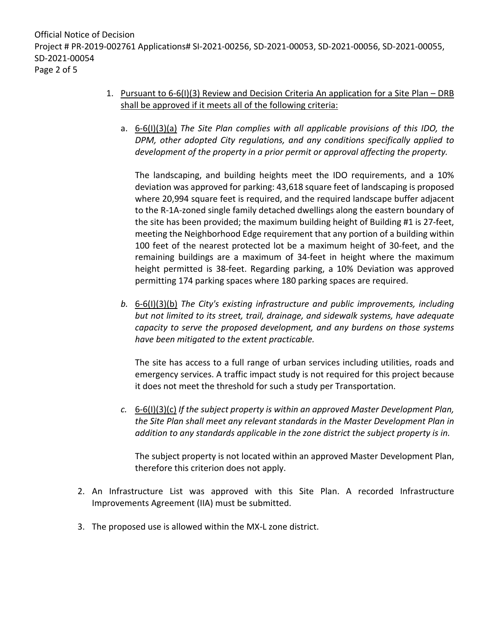# 1. Pursuant to 6-6(I)(3) Review and Decision Criteria An application for a Site Plan – DRB shall be approved if it meets all of the following criteria:

a. 6-6(I)(3)(a) *The Site Plan complies with all applicable provisions of this IDO, the DPM, other adopted City regulations, and any conditions specifically applied to development of the property in a prior permit or approval affecting the property.*

The landscaping, and building heights meet the IDO requirements, and a 10% deviation was approved for parking: 43,618 square feet of landscaping is proposed where 20,994 square feet is required, and the required landscape buffer adjacent to the R-1A-zoned single family detached dwellings along the eastern boundary of the site has been provided; the maximum building height of Building #1 is 27-feet, meeting the Neighborhood Edge requirement that any portion of a building within 100 feet of the nearest protected lot be a maximum height of 30-feet, and the remaining buildings are a maximum of 34-feet in height where the maximum height permitted is 38-feet. Regarding parking, a 10% Deviation was approved permitting 174 parking spaces where 180 parking spaces are required.

*b.* 6-6(I)(3)(b) *The City's existing infrastructure and public improvements, including but not limited to its street, trail, drainage, and sidewalk systems, have adequate capacity to serve the proposed development, and any burdens on those systems have been mitigated to the extent practicable.* 

The site has access to a full range of urban services including utilities, roads and emergency services. A traffic impact study is not required for this project because it does not meet the threshold for such a study per Transportation.

*c.* 6-6(I)(3)(c) *If the subject property is within an approved Master Development Plan, the Site Plan shall meet any relevant standards in the Master Development Plan in addition to any standards applicable in the zone district the subject property is in.*

The subject property is not located within an approved Master Development Plan, therefore this criterion does not apply.

- 2. An Infrastructure List was approved with this Site Plan. A recorded Infrastructure Improvements Agreement (IIA) must be submitted.
- 3. The proposed use is allowed within the MX-L zone district.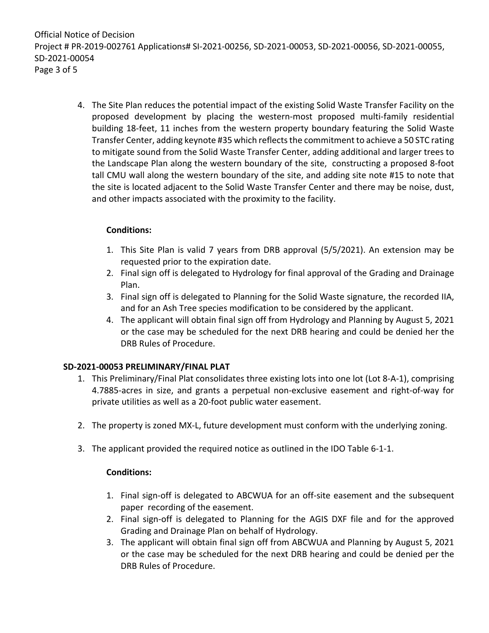Official Notice of Decision Project # PR-2019-002761 Applications# SI-2021-00256, SD-2021-00053, SD-2021-00056, SD-2021-00055, SD-2021-00054 Page 3 of 5

> 4. The Site Plan reduces the potential impact of the existing Solid Waste Transfer Facility on the proposed development by placing the western-most proposed multi-family residential building 18-feet, 11 inches from the western property boundary featuring the Solid Waste Transfer Center, adding keynote #35 which reflects the commitment to achieve a 50 STC rating to mitigate sound from the Solid Waste Transfer Center, adding additional and larger trees to the Landscape Plan along the western boundary of the site, constructing a proposed 8-foot tall CMU wall along the western boundary of the site, and adding site note #15 to note that the site is located adjacent to the Solid Waste Transfer Center and there may be noise, dust, and other impacts associated with the proximity to the facility.

### **Conditions:**

- 1. This Site Plan is valid 7 years from DRB approval (5/5/2021). An extension may be requested prior to the expiration date.
- 2. Final sign off is delegated to Hydrology for final approval of the Grading and Drainage Plan.
- 3. Final sign off is delegated to Planning for the Solid Waste signature, the recorded IIA, and for an Ash Tree species modification to be considered by the applicant.
- 4. The applicant will obtain final sign off from Hydrology and Planning by August 5, 2021 or the case may be scheduled for the next DRB hearing and could be denied her the DRB Rules of Procedure.

### **SD-2021-00053 PRELIMINARY/FINAL PLAT**

- 1. This Preliminary/Final Plat consolidates three existing lots into one lot (Lot 8-A-1), comprising 4.7885-acres in size, and grants a perpetual non-exclusive easement and right-of-way for private utilities as well as a 20-foot public water easement.
- 2. The property is zoned MX-L, future development must conform with the underlying zoning.
- 3. The applicant provided the required notice as outlined in the IDO Table 6-1-1.

### **Conditions:**

- 1. Final sign-off is delegated to ABCWUA for an off-site easement and the subsequent paper recording of the easement.
- 2. Final sign-off is delegated to Planning for the AGIS DXF file and for the approved Grading and Drainage Plan on behalf of Hydrology.
- 3. The applicant will obtain final sign off from ABCWUA and Planning by August 5, 2021 or the case may be scheduled for the next DRB hearing and could be denied per the DRB Rules of Procedure.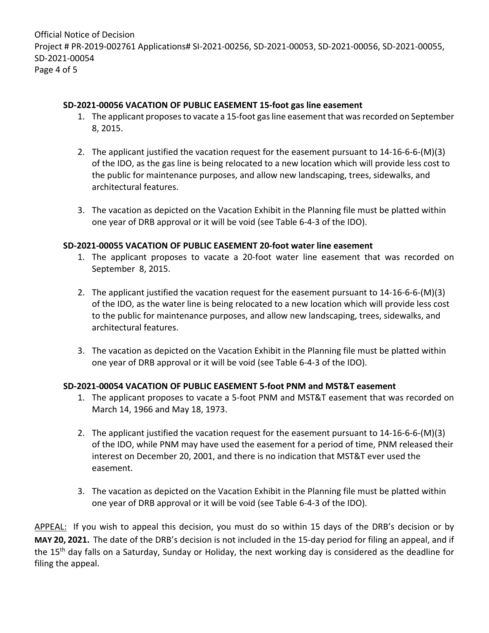# **SD-2021-00056 VACATION OF PUBLIC EASEMENT 15-foot gas line easement**

- 1. The applicant proposes to vacate a 15-foot gas line easement that was recorded on September 8, 2015.
- 2. The applicant justified the vacation request for the easement pursuant to 14-16-6-6-(M)(3) of the IDO, as the gas line is being relocated to a new location which will provide less cost to the public for maintenance purposes, and allow new landscaping, trees, sidewalks, and architectural features.
- 3. The vacation as depicted on the Vacation Exhibit in the Planning file must be platted within one year of DRB approval or it will be void (see Table 6-4-3 of the IDO).

# **SD-2021-00055 VACATION OF PUBLIC EASEMENT 20-foot water line easement**

- 1. The applicant proposes to vacate a 20-foot water line easement that was recorded on September 8, 2015.
- 2. The applicant justified the vacation request for the easement pursuant to 14-16-6-6-(M)(3) of the IDO, as the water line is being relocated to a new location which will provide less cost to the public for maintenance purposes, and allow new landscaping, trees, sidewalks, and architectural features.
- 3. The vacation as depicted on the Vacation Exhibit in the Planning file must be platted within one year of DRB approval or it will be void (see Table 6-4-3 of the IDO).

### **SD-2021-00054 VACATION OF PUBLIC EASEMENT 5-foot PNM and MST&T easement**

- 1. The applicant proposes to vacate a 5-foot PNM and MST&T easement that was recorded on March 14, 1966 and May 18, 1973.
- 2. The applicant justified the vacation request for the easement pursuant to 14-16-6-6-(M)(3) of the IDO, while PNM may have used the easement for a period of time, PNM released their interest on December 20, 2001, and there is no indication that MST&T ever used the easement.
- 3. The vacation as depicted on the Vacation Exhibit in the Planning file must be platted within one year of DRB approval or it will be void (see Table 6-4-3 of the IDO).

APPEAL: If you wish to appeal this decision, you must do so within 15 days of the DRB's decision or by **MAY 20, 2021.** The date of the DRB's decision is not included in the 15-day period for filing an appeal, and if the 15<sup>th</sup> day falls on a Saturday, Sunday or Holiday, the next working day is considered as the deadline for filing the appeal.